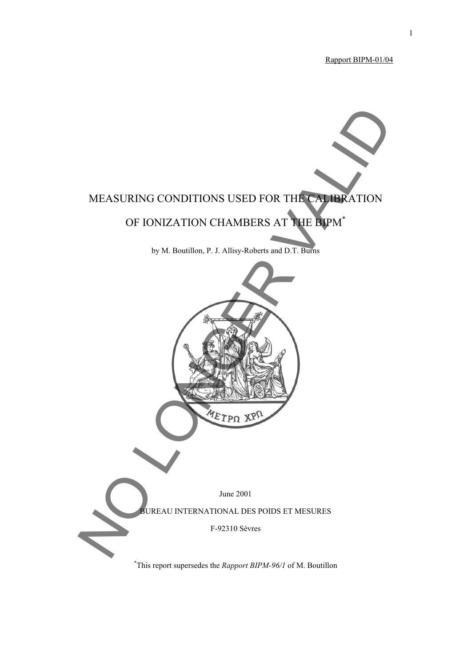Rapport BIPM-01/04

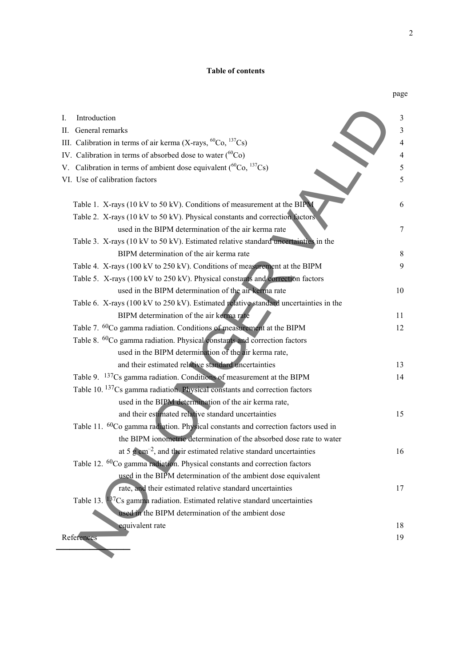### **Table of contents**

|                                                                                               | page |
|-----------------------------------------------------------------------------------------------|------|
| Introduction<br>I.                                                                            | 3    |
| II. General remarks                                                                           | 3    |
| III. Calibration in terms of air kerma (X-rays, ${}^{60}Co$ , ${}^{137}Cs$ )                  | 4    |
| IV. Calibration in terms of absorbed dose to water $\binom{60}{C}$                            | 4    |
| V. Calibration in terms of ambient dose equivalent ( ${}^{60}Co, {}^{137}Cs$ )                | 5    |
| VI. Use of calibration factors                                                                | 5    |
|                                                                                               |      |
| Table 1. X-rays (10 kV to 50 kV). Conditions of measurement at the BIPM                       | 6    |
| Table 2. X-rays (10 kV to 50 kV). Physical constants and correction factors                   |      |
| used in the BIPM determination of the air kerma rate                                          | 7    |
| Table 3. X-rays (10 kV to 50 kV). Estimated relative standard uncertainties in the            |      |
| BIPM determination of the air kerma rate                                                      | 8    |
| Table 4. X-rays (100 kV to 250 kV). Conditions of measurement at the BIPM                     | 9    |
| Table 5. X-rays (100 kV to 250 kV). Physical constants and correction factors                 |      |
| used in the BIPM determination of the air kerma rate                                          | 10   |
| Table 6. X-rays (100 kV to 250 kV). Estimated relative standard uncertainties in the          |      |
| BIPM determination of the air kerma rate                                                      | 11   |
| Table 7. <sup>60</sup> Co gamma radiation. Conditions of measurement at the BIPM              | 12   |
| Table 8. <sup>60</sup> Co gamma radiation. Physical constants and correction factors          |      |
| used in the BIPM determination of the air kerma rate,                                         |      |
| and their estimated relative standard uncertainties                                           | 13   |
| Table 9. <sup>137</sup> Cs gamma radiation. Conditions of measurement at the BIPM             | 14   |
| Table 10. <sup>137</sup> Cs gamma radiation. Physical constants and correction factors        |      |
| used in the BIPM determination of the air kerma rate,                                         |      |
| and their estimated relative standard uncertainties                                           | 15   |
| Table 11. <sup>60</sup> Co gamma radiation. Physical constants and correction factors used in |      |
| the BIPM ionometric determination of the absorbed dose rate to water                          |      |
| at 5 $\rm g$ cm <sup>-2</sup> , and their estimated relative standard uncertainties           | 16   |
| Table 12. <sup>60</sup> Co gamma radiation. Physical constants and correction factors         |      |
| used in the BIPM determination of the ambient dose equivalent                                 |      |
| rate, and their estimated relative standard uncertainties                                     | 17   |
| Table 13. $137Cs$ gamma radiation. Estimated relative standard uncertainties                  |      |
| used in the BIPM determination of the ambient dose                                            |      |
| equivalent rate                                                                               | 18   |
| References                                                                                    | 19   |
|                                                                                               |      |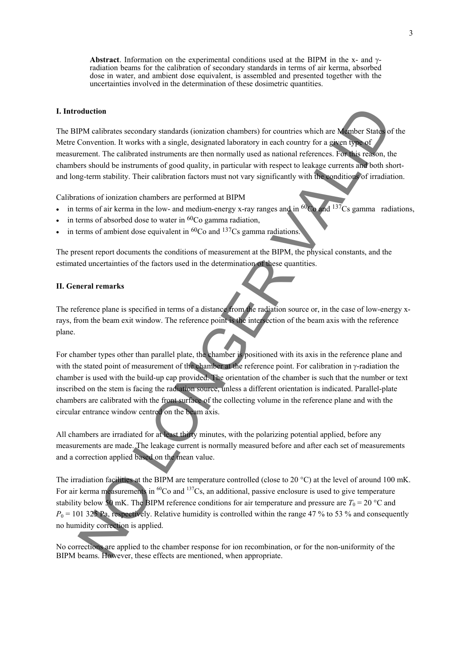**Abstract**. Information on the experimental conditions used at the BIPM in the x- and γradiation beams for the calibration of secondary standards in terms of air kerma, absorbed dose in water, and ambient dose equivalent, is assembled and presented together with the uncertainties involved in the determination of these dosimetric quantities.

#### **I. Introduction**

The BIPM calibrates secondary standards (ionization chambers) for countries which are Member States of the Metre Convention. It works with a single, designated laboratory in each country for a given type of measurement. The calibrated instruments are then normally used as national references. For this reason, the chambers should be instruments of good quality, in particular with respect to leakage currents and both shortand long-term stability. Their calibration factors must not vary significantly with the conditions of irradiation.

Calibrations of ionization chambers are performed at BIPM

- in terms of air kerma in the low- and medium-energy x-ray ranges and in  ${}^{60}$ Co and  ${}^{137}$ Cs gamma radiations,
- in terms of absorbed dose to water in  ${}^{60}Co$  gamma radiation,
- in terms of ambient dose equivalent in  ${}^{60}Co$  and  ${}^{137}Cs$  gamma radiations.

The present report documents the conditions of measurement at the BIPM, the physical constants, and the estimated uncertainties of the factors used in the determination of these quantities.

#### **II. General remarks**

The reference plane is specified in terms of a distance from the radiation source or, in the case of low-energy xrays, from the beam exit window. The reference point is the intersection of the beam axis with the reference plane.

For chamber types other than parallel plate, the chamber is positioned with its axis in the reference plane and with the stated point of measurement of the chamber at the reference point. For calibration in γ-radiation the chamber is used with the build-up cap provided. The orientation of the chamber is such that the number or text inscribed on the stem is facing the radiation source, unless a different orientation is indicated. Parallel-plate chambers are calibrated with the front surface of the collecting volume in the reference plane and with the circular entrance window centred on the beam axis. Motellion<br>TM cultures secondary standards (ionization chambers) for countries which are Monber State<br>Convention. It works with a single, designated laboratory in each country for a gasern by additional references. For thi

All chambers are irradiated for at least thirty minutes, with the polarizing potential applied, before any measurements are made. The leakage current is normally measured before and after each set of measurements and a correction applied based on the mean value.

The irradiation facilities at the BIPM are temperature controlled (close to 20 °C) at the level of around 100 mK. For air kerma measurements in <sup>60</sup>Co and <sup>137</sup>Cs, an additional, passive enclosure is used to give temperature stability below 50 mK. The BIPM reference conditions for air temperature and pressure are  $T_0 = 20$  °C and  $P_0$  = 101 325 Pa, respectively. Relative humidity is controlled within the range 47 % to 53 % and consequently no humidity correction is applied.

No corrections are applied to the chamber response for ion recombination, or for the non-uniformity of the BIPM beams. However, these effect s are mentioned, when appropriate.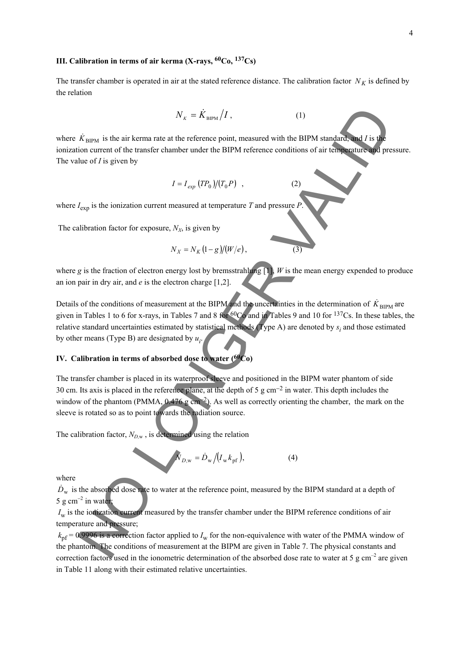### **III. Calibration in terms of air kerma (X-rays, 60Co, 137Cs)**

The transfer chamber is operated in air at the stated reference distance. The calibration factor  $N_K$  is defined by the relation

$$
N_{\kappa} = \dot{K}_{\text{BIPM}} / I , \qquad (1)
$$

where  $K_{\text{BIPM}}$  is the air kerma rate at the reference point, measured with the BIPM standard, and *I* is the ionization current of the transfer chamber under the BIPM reference conditions of air temperature and pressure. The value of *I* is given by

$$
I = I_{exp} (TP_0)/(T_0 P) , \qquad (2)
$$

where  $I_{\text{exn}}$  is the ionization current measured at temperature *T* and pressure *P*.

The calibration factor for exposure,  $N_X$ , is given by

$$
N_X = N_K (1 - g)/(W/e), \t\t(3)
$$

where *g* is the fraction of electron energy lost by bremsstrahlung  $[1]$ , *W* is the mean energy expended to produce an ion pair in dry air, and *e* is the electron charge [1,2].

Details of the conditions of measurement at the BIPM and the uncertainties in the determination of  $\dot{K}_{\text{BIPM}}$  are given in Tables 1 to 6 for x-rays, in Tables 7 and 8 for 60Co and in Tables 9 and 10 for 137Cs. In these tables, the relative standard uncertainties estimated by statistical methods (Type A) are denoted by  $s_i$  and those estimated by other means (Type B) are designated by  $u_i$ .  $N_x = K_{\text{HOM}}/I$ ,<br>  $K_{\text{ampl}}$  is the air kerma rate at the reference point, measured with the BIPM standard and *F* is the<br>
ion current of the transfer chamber under the BIPM reference conditions of air temperature<br>
Length

#### **IV. Calibration in terms of absorbed dose to water (60Co)**

The transfer chamber is placed in its waterproof sleeve and positioned in the BIPM water phantom of side 30 cm. Its axis is placed in the reference plane, at the depth of 5 g cm−2 in water. This depth includes the window of the phantom (PMMA, 0.476 g cm<sup>−2</sup>). As well as correctly orienting the chamber, the mark on the sleeve is rotated so as to point towards the radiation source.

The calibration factor,  $N_{D,w}$ , is determined using the relation

$$
\hat{N}_{D,w} = \dot{D}_w / (I_w k_{\rm pf}), \tag{4}
$$

where

 $\dot{D}_{\rm w}$  is the absorbed dose rate to water at the reference point, measured by the BIPM standard at a depth of 5 g cm<sup>-2</sup> in water;

*I<sub>w</sub>* is the ionization current measured by the transfer chamber under the BIPM reference conditions of air temperature and pressure;

 $k<sub>pf</sub> = 0.9996$  is a correction factor applied to  $I<sub>w</sub>$  for the non-equivalence with water of the PMMA window of the phantom. The conditions of measurement at the BIPM are given in Table 7. The physical constants and correction factors used in the ionometric determination of the absorbed dose rate to water at 5 g  $cm<sup>-2</sup>$  are given in Table 11 along with their estimated relative uncertainties.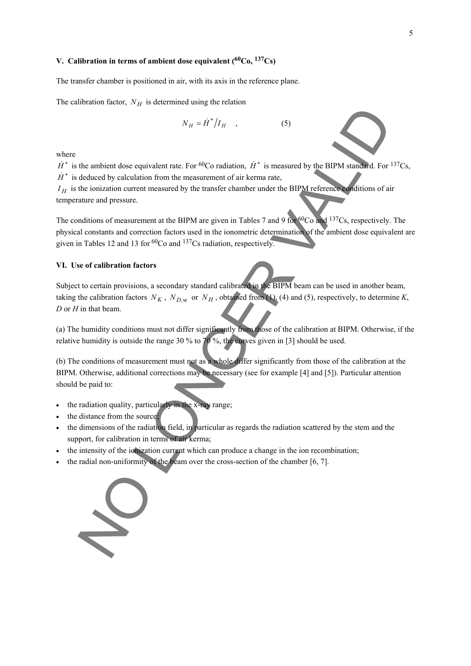## **V. Calibration in terms of ambient dose equivalent (60Co, 137Cs)**

The transfer chamber is positioned in air, with its axis in the reference plane.

The calibration factor,  $N_H$  is determined using the relation

$$
N_H = \dot{H}^* / I_H \quad , \tag{5}
$$

where

 $\dot{H}^*$  is the ambient dose equivalent rate. For <sup>60</sup>Co radiation,  $\dot{H}^*$  is measured by the BIPM standard. For <sup>137</sup>Cs,  $\dot{H}^*$  is deduced by calculation from the measurement of air kerma rate,

 $I_H$  is the ionization current measured by the transfer chamber under the BIPM reference conditions of air temperature and pressure.

The conditions of measurement at the BIPM are given in Tables 7 and 9 for <sup>60</sup>Co and <sup>137</sup>Cs, respectively. The physical constants and correction factors used in the ionometric determination of the ambient dose equivalent are given in Tables 12 and 13 for 60Co and 137Cs radiation, respectively.

#### **VI. Use of calibration factors**

Subject to certain provisions, a secondary standard calibrated in the BIPM beam can be used in another beam, taking the calibration factors  $N_K$ ,  $N_{D,w}$  or  $N_H$ , obtained from (1), (4) and (5), respectively, to determine K, *D* or *H* in that beam.  $N_B = H^2/I_H$ , (5)<br>the ambient dose equivalent rate. For <sup>60</sup>Co radiation, *H*<sup>2</sup> is measured by the BIPM standard. For<br>electured by calculation from the measurement of air kerma rate,<br>electured and pressure.<br>at a state chan

(a) The humidity conditions must not differ significantly from those of the calibration at BIPM. Otherwise, if the relative humidity is outside the range 30 % to 70 %, the curves given in [3] should be used.

(b) The conditions of measurement must not as a whole differ significantly from those of the calibration at the BIPM. Otherwise, additional corrections may be necessary (see for example [4] and [5]). Particular attention should be paid to:

- the radiation quality, particularly in the x-ray range;
- the distance from the source;
- the dimensions of the radiation field, in particular as regards the radiation scattered by the stem and the support, for calibration in terms of air kerma;
- the intensity of the ionization current which can produce a change in the ion recombination;
- the radial non-uniformity of the beam over the cross-section of the chamber [6, 7].



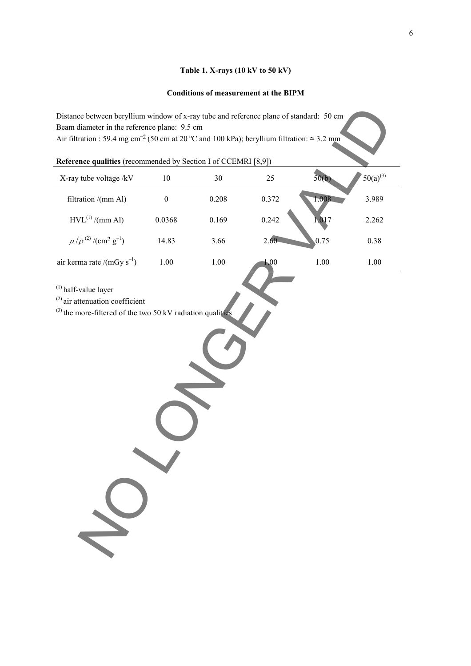### **Table 1. X-rays (10 kV to 50 kV)**

### **Conditions of measurement at the BIPM**

| Reference qualities (recommended by Section I of CCEMRI [8,9]) |  |  |  |  |
|----------------------------------------------------------------|--|--|--|--|
|----------------------------------------------------------------|--|--|--|--|

| Distance between beryllium window of x-ray tube and reference plane of standard: 50 cm<br>Beam diameter in the reference plane: 9.5 cm<br>Air filtration : 59.4 mg cm <sup>-2</sup> (50 cm at 20 °C and 100 kPa); beryllium filtration: $\approx$ 3.2 mm |                  |          |       |          |               |
|----------------------------------------------------------------------------------------------------------------------------------------------------------------------------------------------------------------------------------------------------------|------------------|----------|-------|----------|---------------|
| Reference qualities (recommended by Section I of CCEMRI [8,9])                                                                                                                                                                                           |                  |          |       |          |               |
| X-ray tube voltage /kV                                                                                                                                                                                                                                   | 10               | 30       | 25    | 50(b)    | $50(a)^{(3)}$ |
| filtration /(mm Al)                                                                                                                                                                                                                                      | $\boldsymbol{0}$ | 0.208    | 0.372 | 1.008    | 3.989         |
| $HVL^{(1)}/(mm \text{ Al})$                                                                                                                                                                                                                              | 0.0368           | 0.169    | 0.242 | 1.017    | 2.262         |
| $\mu/\rho^{(2)}/(\text{cm}^2 \text{ g}^{-1})$                                                                                                                                                                                                            | 14.83            | 3.66     | 2.60  | 0.75     | 0.38          |
| air kerma rate /(mGy $s^{-1}$ )                                                                                                                                                                                                                          | $1.00\,$         | $1.00\,$ | 1.00  | $1.00\,$ | 1.00          |
| $(1)$ half-value layer<br>$^{(2)}$ air attenuation coefficient<br>$^{(3)}$ the more-filtered of the two 50 kV radiation qualities                                                                                                                        |                  |          |       |          |               |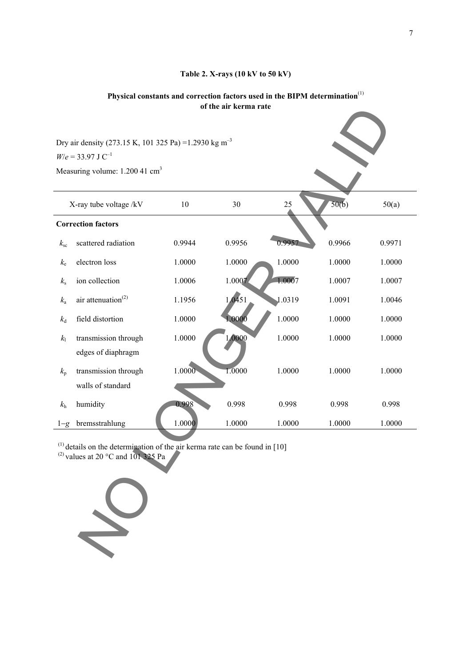### **Table 2. X-rays (10 kV to 50 kV)**

# **Physical constants and correction factors used in the BIPM determination**(1) **of the air kerma rate**

|              | Dry air density (273.15 K, 101 325 Pa) = 1.2930 kg m <sup>-3</sup><br>$W/e = 33.97$ J C <sup>-1</sup><br>Measuring volume: 1.200 41 cm <sup>3</sup> |        |        |        |        |        |
|--------------|-----------------------------------------------------------------------------------------------------------------------------------------------------|--------|--------|--------|--------|--------|
|              | X-ray tube voltage /kV                                                                                                                              | 10     | 30     | 25     | 50(b)  | 50(a)  |
|              | <b>Correction factors</b>                                                                                                                           |        |        |        |        |        |
| $k_{\rm sc}$ | scattered radiation                                                                                                                                 | 0.9944 | 0.9956 | 0.9957 | 0.9966 | 0.9971 |
| $k_{\rm e}$  | electron loss                                                                                                                                       | 1.0000 | 1.0000 | 1.0000 | 1.0000 | 1.0000 |
| $k_{\rm s}$  | ion collection                                                                                                                                      | 1.0006 | 1.0007 | 1.0007 | 1.0007 | 1.0007 |
| $k_{\rm a}$  | air attenuation <sup>(2)</sup>                                                                                                                      | 1.1956 | 1.0451 | 1.0319 | 1.0091 | 1.0046 |
| $k_{\rm d}$  | field distortion                                                                                                                                    | 1.0000 | 1.0000 | 1.0000 | 1.0000 | 1.0000 |
| $k_{\rm l}$  | transmission through<br>edges of diaphragm                                                                                                          | 1.0000 | 1,0000 | 1.0000 | 1.0000 | 1.0000 |
| $k_{\rm p}$  | transmission through<br>walls of standard                                                                                                           | 1.0000 | 1.0000 | 1.0000 | 1.0000 | 1.0000 |
| $k_{\rm h}$  | humidity                                                                                                                                            | 0.998  | 0.998  | 0.998  | 0.998  | 0.998  |
| $1-g$        | bremsstrahlung                                                                                                                                      | 1.0000 | 1.0000 | 1.0000 | 1.0000 | 1.0000 |
|              | $(1)$ details on the determination of the air kerma rate can be found in [10]<br><sup>(2)</sup> values at 20 $^{\circ}$ C and 101 325 Pa            |        |        |        |        |        |

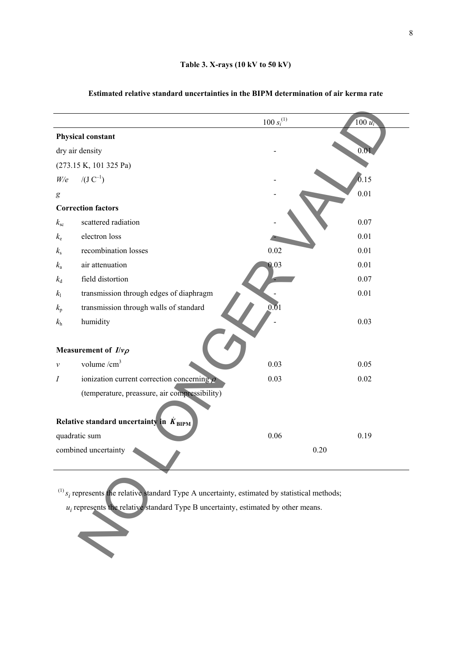|                 |                                                                                                                | $100 s_i^{(1)}$ | $100 u_i$ |
|-----------------|----------------------------------------------------------------------------------------------------------------|-----------------|-----------|
|                 | Physical constant                                                                                              |                 |           |
| dry air density |                                                                                                                |                 | 0.01      |
|                 | (273.15 K, 101 325 Pa)                                                                                         |                 |           |
| W/e             | $/(J C^{-1})$                                                                                                  |                 | 0.15      |
| g               |                                                                                                                |                 | 0.01      |
|                 | <b>Correction factors</b>                                                                                      |                 |           |
| $k_{\rm sc}$    | scattered radiation                                                                                            |                 | 0.07      |
| $k_{\rm e}$     | electron loss                                                                                                  |                 | 0.01      |
| $k_{\rm s}$     | recombination losses                                                                                           | 0.02            | 0.01      |
| $k_{\rm a}$     | air attenuation                                                                                                | 0.03            | 0.01      |
| $k_{\rm d}$     | field distortion                                                                                               |                 | 0.07      |
| $k_{\rm l}$     | transmission through edges of diaphragm                                                                        |                 | 0.01      |
| $k_{\rm p}$     | transmission through walls of standard                                                                         | 0.01            |           |
| $k_{\rm h}$     | humidity                                                                                                       |                 | 0.03      |
|                 | Measurement of $I/\nu\rho$                                                                                     |                 |           |
| $\mathcal V$    | volume $/cm3$                                                                                                  | 0.03            | 0.05      |
| Ι               | ionization current correction concerning $\rho$                                                                | 0.03            | 0.02      |
|                 | (temperature, preassure, air compressibility)                                                                  |                 |           |
|                 | Relative standard uncertainty in $\dot{K}_{\text{BIPM}}$                                                       |                 |           |
| quadratic sum   |                                                                                                                | 0.06            | 0.19      |
|                 | combined uncertainty                                                                                           |                 | 0.20      |
|                 | $^{(1)}$ s <sub>i</sub> represents the relative standard Type A uncertainty, estimated by statistical methods; |                 |           |
|                 | $u_i$ represents the relative standard Type B uncertainty, estimated by other means.                           |                 |           |

### **Estimated relative standard uncertainties in the BIPM determination of air kerma rate**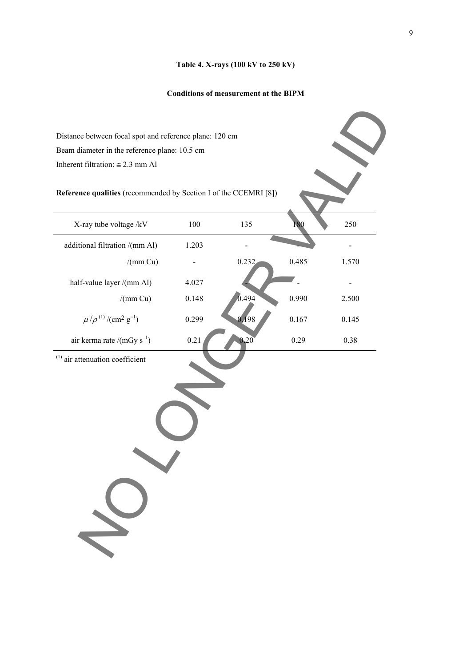### **Table 4. X-rays (100 kV to 250 kV)**

## **Conditions of measurement at the BIPM**

| Inherent filtration: $\approx 2.3$ mm Al                         |       |       |       |       |
|------------------------------------------------------------------|-------|-------|-------|-------|
| Reference qualities (recommended by Section I of the CCEMRI [8]) |       |       |       |       |
| X-ray tube voltage /kV                                           | 100   | 135   | 180   | 250   |
| additional filtration /(mm Al)                                   | 1.203 |       |       |       |
| /(mm Cu)                                                         |       | 0.232 | 0.485 | 1.570 |
| half-value layer /(mm Al)                                        | 4.027 |       |       |       |
| /(mm Cu)                                                         | 0.148 | 0.494 | 0.990 | 2.500 |
| $\mu/\rho^{(1)}/(\text{cm}^2 \text{ g}^{-1})$                    | 0.299 | 0,198 | 0.167 | 0.145 |
| air kerma rate /(mGy $s^{-1}$ )                                  | 0.21  | 0.20  | 0.29  | 0.38  |
| $^{(1)}$ air attenuation coefficient                             |       |       |       |       |
|                                                                  |       |       |       |       |
|                                                                  |       |       |       |       |
|                                                                  |       |       |       |       |
|                                                                  |       |       |       |       |
|                                                                  |       |       |       |       |
|                                                                  |       |       |       |       |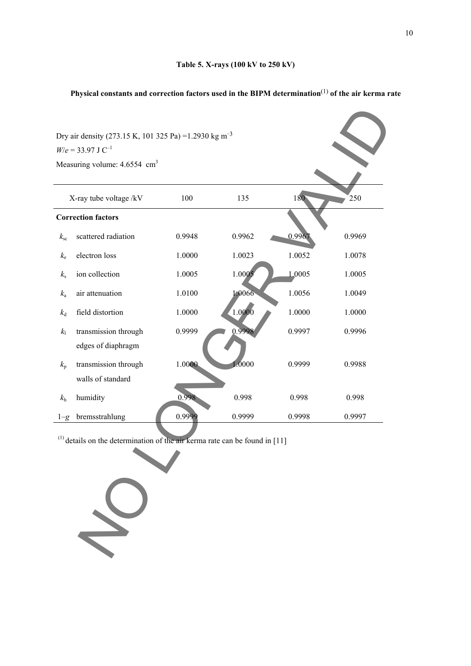# **Physical constants and correction factors used in the BIPM determination**(1) **of the air kerma rate**

|                | Dry air density (273.15 K, 101 325 Pa) = 1.2930 kg m <sup>-3</sup>               |        |        |        |        |
|----------------|----------------------------------------------------------------------------------|--------|--------|--------|--------|
|                | $W/e = 33.97$ J C <sup>-1</sup>                                                  |        |        |        |        |
|                | Measuring volume: 4.6554 cm <sup>3</sup>                                         |        |        |        |        |
|                |                                                                                  |        |        |        |        |
|                | X-ray tube voltage /kV                                                           | 100    | 135    | 180    | 250    |
|                | <b>Correction factors</b>                                                        |        |        |        |        |
| $k_{\rm sc}$   | scattered radiation                                                              | 0.9948 | 0.9962 | 0.996  | 0.9969 |
| $k_{\rm e}$    | electron loss                                                                    | 1.0000 | 1.0023 | 1.0052 | 1.0078 |
| $k_{\rm s}$    | ion collection                                                                   | 1.0005 | 1.0005 | 1.0005 | 1.0005 |
| $k_{\rm a}$    | air attenuation                                                                  | 1.0100 | 1.0066 | 1.0056 | 1.0049 |
| $k_{\rm d}$    | field distortion                                                                 | 1.0000 | 1.0000 | 1.0000 | 1.0000 |
| k <sub>1</sub> | transmission through                                                             | 0.9999 | 0.9998 | 0.9997 | 0.9996 |
|                | edges of diaphragm                                                               |        |        |        |        |
| $k_{p}$        | transmission through                                                             | 1.0000 | 1.0000 | 0.9999 | 0.9988 |
|                | walls of standard                                                                |        |        |        |        |
| $k_{\rm h}$    | humidity                                                                         | 0.998  | 0.998  | 0.998  | 0.998  |
| $1 - g$        | bremsstrahlung                                                                   | 0.9999 | 0.9999 | 0.9998 | 0.9997 |
|                | $^{(1)}$ details on the determination of the air kerma rate can be found in [11] |        |        |        |        |
|                |                                                                                  |        |        |        |        |
|                |                                                                                  |        |        |        |        |
|                |                                                                                  |        |        |        |        |
|                |                                                                                  |        |        |        |        |
|                |                                                                                  |        |        |        |        |

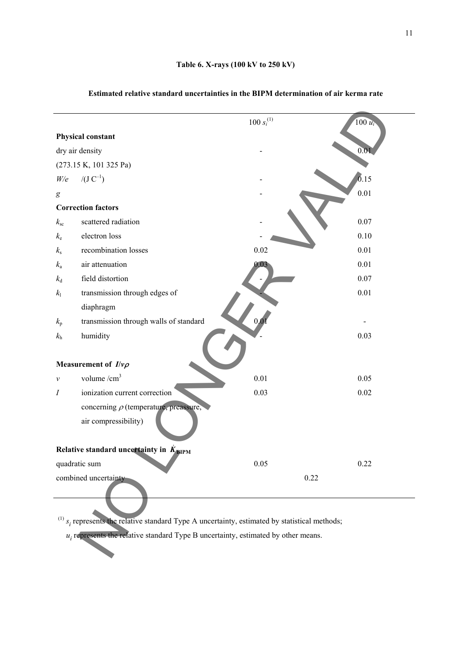|                  |                                                                                                       | $100 s_i^{(1)}$ | $100 u_i$ |
|------------------|-------------------------------------------------------------------------------------------------------|-----------------|-----------|
|                  | <b>Physical constant</b>                                                                              |                 |           |
|                  | dry air density                                                                                       |                 | 0.01      |
|                  | (273.15 K, 101 325 Pa)                                                                                |                 |           |
| W/e              | $/(J C^{-1})$                                                                                         |                 | 0.15      |
| $\boldsymbol{g}$ |                                                                                                       |                 | 0.01      |
|                  | <b>Correction factors</b>                                                                             |                 |           |
| $k_{\rm sc}$     | scattered radiation                                                                                   |                 | 0.07      |
| $k_{\rm e}$      | electron loss                                                                                         |                 | 0.10      |
| $k_{\rm s}$      | recombination losses                                                                                  | 0.02            | 0.01      |
| $k_{\rm a}$      | air attenuation                                                                                       | 0.03            | 0.01      |
| $k_{\rm d}$      | field distortion                                                                                      |                 | 0.07      |
| $k_{\rm l}$      | transmission through edges of                                                                         |                 | 0.01      |
|                  | diaphragm                                                                                             |                 |           |
| $k_{\rm p}$      | transmission through walls of standard                                                                | 0.0             |           |
| $k_{\rm h}$      | humidity                                                                                              |                 | 0.03      |
|                  |                                                                                                       |                 |           |
|                  | Measurement of $I/\nu\rho$                                                                            |                 |           |
| $\mathcal V$     | volume $/cm3$                                                                                         | 0.01            | 0.05      |
| $\boldsymbol{I}$ | ionization current correction                                                                         | 0.03            | 0.02      |
|                  | concerning $\rho$ (temperature, preassure,                                                            |                 |           |
|                  | air compressibility)                                                                                  |                 |           |
|                  |                                                                                                       |                 |           |
|                  | Relative standard uncertainty in $K_{\text{BIPM}}$                                                    |                 |           |
|                  | quadratic sum                                                                                         | 0.05            | 0.22      |
|                  | combined uncertainty                                                                                  |                 | 0.22      |
|                  |                                                                                                       |                 |           |
|                  |                                                                                                       |                 |           |
|                  | $^{(1)}$ $s_i$ represents the relative standard Type A uncertainty, estimated by statistical methods; |                 |           |
|                  | $u_i$ represents the relative standard Type B uncertainty, estimated by other means.                  |                 |           |
|                  |                                                                                                       |                 |           |
|                  |                                                                                                       |                 |           |

### **Estimated relative standard uncertainties in the BIPM determination of air kerma rate**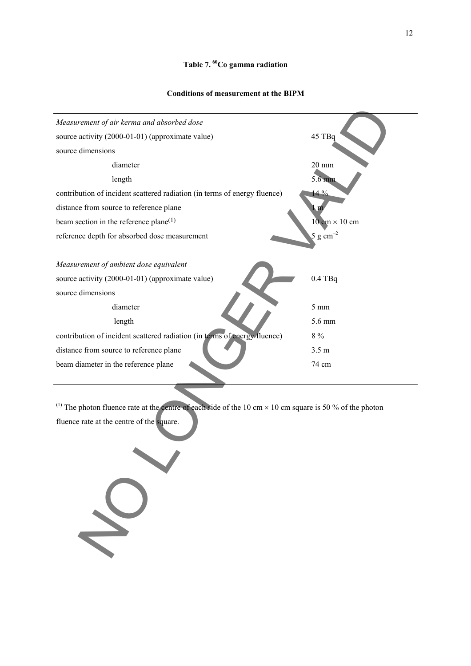### **Table 7. 60Co gamma radiation**

12

#### **Conditions of measurement at the BIPM**



<sup>(1)</sup> The photon fluence rate at the centre of each side of the 10 cm  $\times$  10 cm square is 50 % of the photon fluence rate at the centre of the square.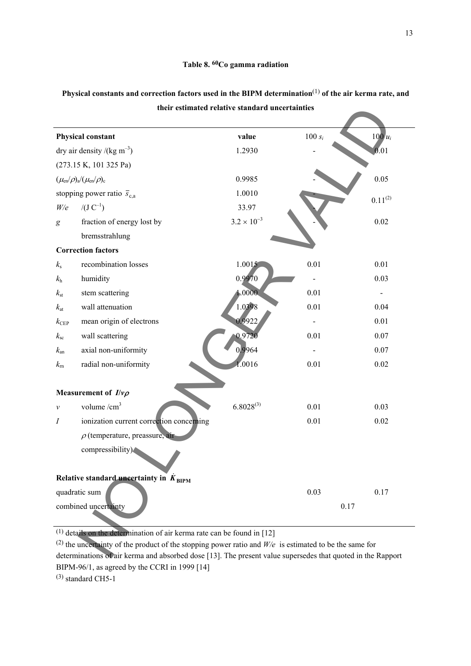|                                                    | their estimated relative standard uncertainties                                                                                                                                                                         |           |                          |
|----------------------------------------------------|-------------------------------------------------------------------------------------------------------------------------------------------------------------------------------------------------------------------------|-----------|--------------------------|
| <b>Physical constant</b>                           | value                                                                                                                                                                                                                   | $100 s_i$ | $100u_i$                 |
| dry air density /(kg m <sup>-3</sup> )             | 1.2930                                                                                                                                                                                                                  |           | 0.01                     |
| (273.15 K, 101 325 Pa)                             |                                                                                                                                                                                                                         |           |                          |
| $(\mu_{en}/\rho)_{a}/(\mu_{en}/\rho)_{c}$          | 0.9985                                                                                                                                                                                                                  |           | 0.05                     |
| stopping power ratio $\bar{s}_{c,a}$               | 1.0010                                                                                                                                                                                                                  |           |                          |
| $/(J C^{-1})$<br>W/e                               | 33.97                                                                                                                                                                                                                   |           | $0.11^{(2)}$             |
| fraction of energy lost by<br>g                    | $3.2 \times 10^{-3}$                                                                                                                                                                                                    |           | 0.02                     |
| bremsstrahlung                                     |                                                                                                                                                                                                                         |           |                          |
| <b>Correction factors</b>                          |                                                                                                                                                                                                                         |           |                          |
| recombination losses<br>$k_{\rm s}$                | 1.0015                                                                                                                                                                                                                  | 0.01      | 0.01                     |
| humidity<br>$k_{\rm h}$                            | 0.9970                                                                                                                                                                                                                  |           | 0.03                     |
| stem scattering<br>$k_{\rm st}$                    | 1.0000                                                                                                                                                                                                                  | 0.01      | $\overline{\phantom{a}}$ |
| wall attenuation<br>$k_{\rm at}$                   | 1.0398                                                                                                                                                                                                                  | 0.01      | 0.04                     |
| mean origin of electrons<br>$k_{\rm CEP}$          | 0.9922                                                                                                                                                                                                                  |           | 0.01                     |
| wall scattering<br>$k_{\rm sc}$                    | 0.9720                                                                                                                                                                                                                  | 0.01      | 0.07                     |
| axial non-uniformity<br>$k_{\rm an}$               | 0.9964                                                                                                                                                                                                                  |           | 0.07                     |
| radial non-uniformity<br>$k_{\rm m}$               | 1.0016                                                                                                                                                                                                                  | 0.01      | 0.02                     |
| Measurement of $I/\nu\rho$                         |                                                                                                                                                                                                                         |           |                          |
| volume $/cm3$<br>$\mathcal V$                      | $6.8028^{(3)}$                                                                                                                                                                                                          | 0.01      | 0.03                     |
| ionization current correction concerning<br>Ι      |                                                                                                                                                                                                                         | 0.01      | 0.02                     |
| $\rho$ (temperature, preassure, air                |                                                                                                                                                                                                                         |           |                          |
| compressibility)                                   |                                                                                                                                                                                                                         |           |                          |
| Relative standard uncertainty in $K_{\text{BIPM}}$ |                                                                                                                                                                                                                         |           |                          |
| quadratic sum                                      |                                                                                                                                                                                                                         | 0.03      | 0.17                     |
| combined uncertainty                               |                                                                                                                                                                                                                         |           | 0.17                     |
|                                                    | $(1)$ details on the determination of air kerma rate can be found in [12]                                                                                                                                               |           |                          |
|                                                    | (2) the uncertainty of the product of the stopping power ratio and $W/e$ is estimated to be the same for<br>determinations of air kerma and absorbed dose [13]. The present value supersedes that quoted in the Rapport |           |                          |

# **Physical constants and correction factors used in the BIPM determination**(1) **of the air kerma rate, and their estimated relative standard uncertainties**

(2) the uncertainty of the product of the stopping power ratio and *W/e* is estimated to be the same for determinations of air kerma and absorbed dose [13]. The present value supersedes that quoted in the Rapport BIPM-96/1, as agreed by the CCRI in 1999 [14] (3) standard CH5-1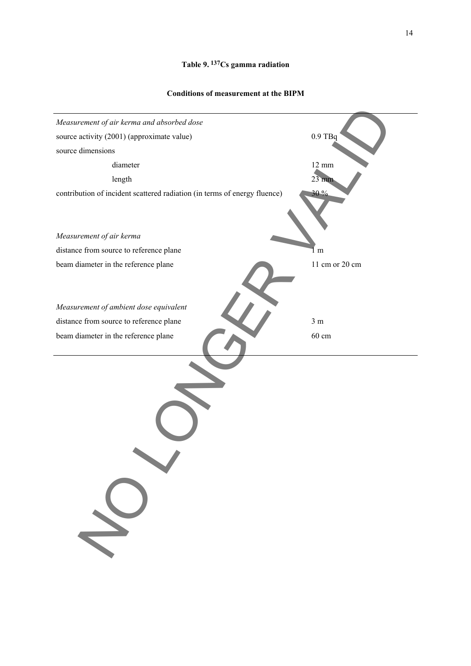# **Table 9. 137Cs gamma radiation**

### **Conditions of measurement at the BIPM**

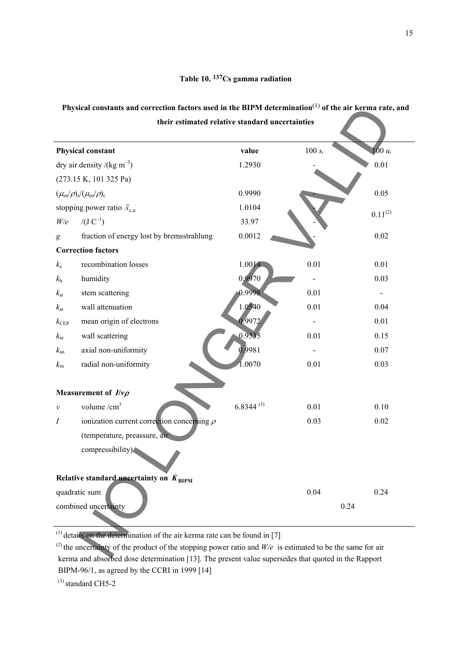## **Table 10. 137Cs gamma radiation**

# **Physical constants and correction factors used in the BIPM determination**(1) **of the air kerma rate, and their estimated relative standard uncertainties**

|                | Physical constants and correction factors used in the BIPM determination <sup>(1)</sup> of the air kerma rate, and<br>their estimated relative standard uncertainties |                |           |                              |
|----------------|-----------------------------------------------------------------------------------------------------------------------------------------------------------------------|----------------|-----------|------------------------------|
|                | <b>Physical constant</b>                                                                                                                                              | value          | $100 s_i$ | $100 u_i$                    |
|                | dry air density /(kg m <sup>-3</sup> )                                                                                                                                | 1.2930         |           | 0.01                         |
|                | (273.15 K, 101 325 Pa)                                                                                                                                                |                |           |                              |
|                | $(\mu_{en}/\rho)_{a}/(\mu_{en}/\rho)_{c}$                                                                                                                             | 0.9990         |           | 0.05                         |
|                | stopping power ratio $\bar{s}_{c,a}$                                                                                                                                  | 1.0104         |           | $0.11^{(2)}$                 |
| W/e            | $/(J C^{-1})$                                                                                                                                                         | 33.97          |           |                              |
| g              | fraction of energy lost by bremsstrahlung                                                                                                                             | 0.0012         |           | 0.02                         |
|                | <b>Correction factors</b>                                                                                                                                             |                |           |                              |
| $k_{\rm s}$    | recombination losses                                                                                                                                                  | 1.0014         | 0.01      | 0.01                         |
| $k_{\rm h}$    | humidity                                                                                                                                                              | 0,9970         |           | 0.03                         |
| $k_{\rm st}$   | stem scattering                                                                                                                                                       | 0.9998         | 0.01      | $\qquad \qquad \blacksquare$ |
| $k_{\rm at}$   | wall attenuation                                                                                                                                                      | 1.0540         | 0.01      | 0.04                         |
| $k_{\rm CEP}$  | mean origin of electrons                                                                                                                                              | 0.9972         |           | 0.01                         |
| $k_{\rm sc}$   | wall scattering                                                                                                                                                       | 0.9535         | 0.01      | 0.15                         |
| $k_{\rm an}$   | axial non-uniformity                                                                                                                                                  | 0.9981         |           | 0.07                         |
| $k_{\rm m}$    | radial non-uniformity                                                                                                                                                 | 1.0070         | 0.01      | 0.03                         |
|                | Measurement of $I/\nu\rho$                                                                                                                                            |                |           |                              |
| ν              | volume $/cm3$                                                                                                                                                         | $6.8344^{(3)}$ | 0.01      | 0.10                         |
| $\overline{I}$ | ionization current correction concerning $\rho$                                                                                                                       |                | 0.03      | 0.02                         |
|                | (temperature, preassure, air                                                                                                                                          |                |           |                              |
|                | compressibility)                                                                                                                                                      |                |           |                              |
|                | Relative standard uncertainty on $K_{\text{RIPM}}$                                                                                                                    |                |           |                              |
|                | quadratic sum                                                                                                                                                         |                | 0.04      | 0.24                         |
|                | combined uncertainty                                                                                                                                                  |                | 0.24      |                              |
|                | $(1)$ details on the determination of the air kerma rate can be found in [7]                                                                                          |                |           |                              |
|                | <sup>(2)</sup> the uncertainty of the product of the stopping power ratio and $W/e$ is estimated to be the same for air                                               |                |           |                              |
|                | kerma and aboorbed does determination [12]. The present value supersedge that quoted in the Penner                                                                    |                |           |                              |

<sup>(2)</sup> the uncertainty of the product of the stopping power ratio and  $W/e$  is estimated to be the same for air kerma and absorbed dose determination [13]. The present value supersedes that quoted in the Rapport BIPM-96/1, as agreed by the CCRI in 1999 [14]

 $^{(3)}$  standard CH5-2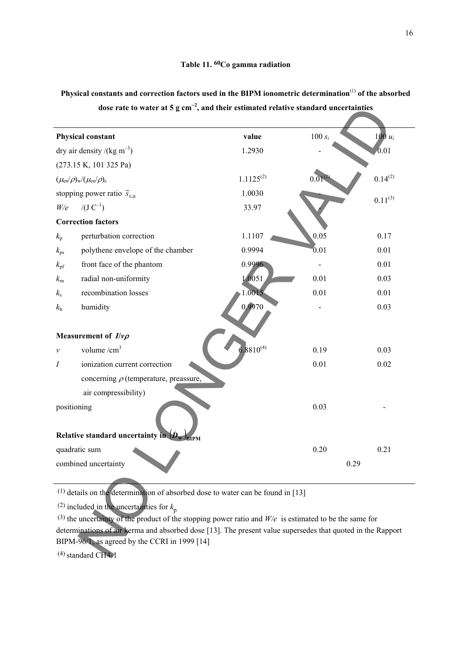| <b>Physical constant</b>                                                                                    | value          | 100 $s_i$   | $100 u_i$    |
|-------------------------------------------------------------------------------------------------------------|----------------|-------------|--------------|
| dry air density /(kg m <sup>-3</sup> )                                                                      | 1.2930         |             | 0.01         |
| (273.15 K, 101 325 Pa)                                                                                      |                |             |              |
| $(\mu_{en}/\rho)_{w}/(\mu_{en}/\rho)_{c}$                                                                   | $1.1125^{(2)}$ | $0.0^\circ$ | $0.14^{(2)}$ |
| stopping power ratio $\bar{s}_{c,a}$                                                                        | 1.0030         |             |              |
| $/(J C^{-1})$<br>W/e                                                                                        | 33.97          |             | $0.11^{(3)}$ |
| <b>Correction factors</b>                                                                                   |                |             |              |
| perturbation correction<br>$k_{\rm p}$                                                                      | 1.1107         | 0.05        | 0.17         |
| polythene envelope of the chamber<br>$k_{\rm ps}$                                                           | 0.9994         | 0.01        | 0.01         |
| front face of the phantom<br>$k_{\rm pf}$                                                                   | 0.9996         |             | 0.01         |
| radial non-uniformity<br>$k_{\rm m}$                                                                        | 1.0051         | 0.01        | 0.03         |
| recombination losses<br>$k_{\rm s}$                                                                         | 1.0015         | 0.01        | 0.01         |
| humidity<br>$k_{\rm h}$                                                                                     | 0.9970         |             | 0.03         |
| Measurement of $I/\nu\rho$                                                                                  |                |             |              |
| volume $/cm3$<br>$\mathcal V$                                                                               | $6.8810^{(4)}$ | 0.19        | 0.03         |
| ionization current correction<br>Ι                                                                          |                | 0.01        | 0.02         |
| concerning $\rho$ (temperature, preassure,                                                                  |                |             |              |
| air compressibility)                                                                                        |                |             |              |
| positioning                                                                                                 |                | 0.03        |              |
|                                                                                                             |                |             |              |
| Relative standard uncertainty $\overline{in}$ $(D_w)_{\text{BIPM}}$                                         |                |             |              |
| quadratic sum                                                                                               |                | 0.20        | 0.21         |
| combined uncertainty                                                                                        |                |             | 0.29         |
|                                                                                                             |                |             |              |
| <sup>(1)</sup> details on the determination of absorbed dose to water can be found in [13]                  |                |             |              |
| <sup>(2)</sup> included in the uncertainties for $k_p$                                                      |                |             |              |
| (3) the uncertainty of the product of the stopping power ratio and $W/e$ is estimated to be the same for    |                |             |              |
| determinations of air kerma and absorbed dose [13]. The present value supersedes that quoted in the Rapport |                |             |              |
| BIPM-96/1, as agreed by the CCRI in 1999 [14]                                                               |                |             |              |
| $(4)$ standard CH4-1                                                                                        |                |             |              |

**Physical constants and correction factors used in the BIPM ionometric determination**(1) **of the absorbed dose rate to water at 5 g cm**<sup>−</sup>**<sup>2</sup> , and their estimated relative standard uncertainties**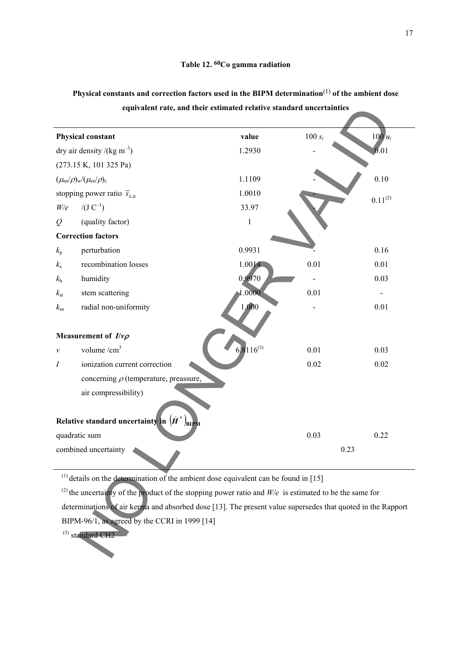|              |                                                                                                                     | equivalent rate, and their estimated relative standard uncertainties |           |              |
|--------------|---------------------------------------------------------------------------------------------------------------------|----------------------------------------------------------------------|-----------|--------------|
|              | <b>Physical constant</b>                                                                                            | value                                                                | $100 s_i$ | $100u_i$     |
|              | dry air density /(kg m <sup>-3</sup> )                                                                              | 1.2930                                                               |           | 0.01         |
|              | (273.15 K, 101 325 Pa)                                                                                              |                                                                      |           |              |
|              | $(\mu_{en}/\rho)_{w}/(\mu_{en}/\rho)_{c}$                                                                           | 1.1109                                                               |           | 0.10         |
|              | stopping power ratio $\bar{s}_{c,a}$                                                                                | 1.0010                                                               |           | $0.11^{(2)}$ |
| W/e          | $/(J C^{-1})$                                                                                                       | 33.97                                                                |           |              |
| $\varrho$    | (quality factor)                                                                                                    | $\,1\,$                                                              |           |              |
|              | <b>Correction factors</b>                                                                                           |                                                                      |           |              |
| $k_{\rm p}$  | perturbation                                                                                                        | 0.9931                                                               |           | 0.16         |
| $k_{\rm s}$  | recombination losses                                                                                                | 1.0014                                                               | 0.01      | 0.01         |
| $k_{\rm h}$  | humidity                                                                                                            | 0,9970                                                               |           | 0.03         |
| $k_{\rm st}$ | stem scattering                                                                                                     | 1.0000                                                               | 0.01      |              |
| $k_{\rm m}$  | radial non-uniformity                                                                                               | 1,000                                                                |           | 0.01         |
|              | Measurement of $I/\nu\rho$                                                                                          |                                                                      |           |              |
| ν            | volume $/cm3$                                                                                                       | $6\sqrt{8116}^{(3)}$                                                 | 0.01      | 0.03         |
| I            | ionization current correction                                                                                       |                                                                      | 0.02      | 0.02         |
|              | concerning $\rho$ (temperature, preassure,                                                                          |                                                                      |           |              |
|              | air compressibility)                                                                                                |                                                                      |           |              |
|              | Relative standard uncertainty in $(H^*)$<br>/BIPM                                                                   |                                                                      |           |              |
|              | quadratic sum                                                                                                       |                                                                      | 0.03      | 0.22         |
|              | combined uncertainty                                                                                                |                                                                      | 0.23      |              |
|              | $^{(1)}$ details on the determination of the ambient dose equivalent can be found in [15]                           |                                                                      |           |              |
|              | <sup>(2)</sup> the uncertainty of the product of the stopping power ratio and $W/e$ is estimated to be the same for |                                                                      |           |              |
|              | determinations of air kerma and absorbed dose [13]. The present value supersedes that quoted in the Rapport         |                                                                      |           |              |
|              | BIPM-96/1, as agreed by the CCRI in 1999 [14]                                                                       |                                                                      |           |              |
|              | $^{(3)}$ standard CH2                                                                                               |                                                                      |           |              |

**Physical constants and correction factors used in the BIPM determination**(1) **of the ambient dose equivalent rate, and their estimated relative standard uncertainties**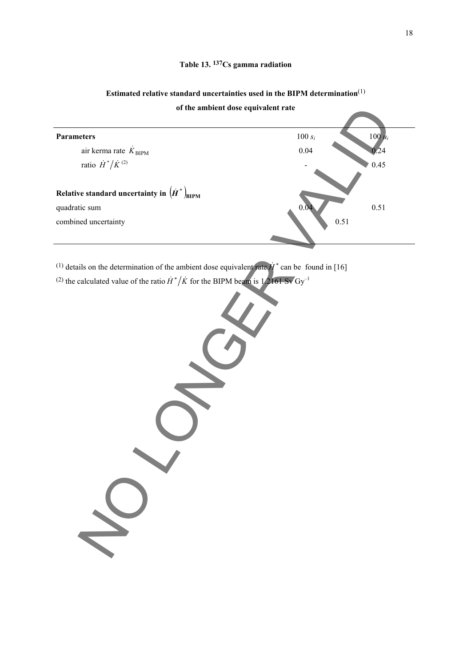# **Estimated relative standard uncertainties used in the BIPM determination**(1)

**of the ambient dose equivalent rate**

| of the ambient dose equivalent rate                                                                                  |           |           |
|----------------------------------------------------------------------------------------------------------------------|-----------|-----------|
|                                                                                                                      |           |           |
| <b>Parameters</b>                                                                                                    | 100 $s_i$ | $100 u_i$ |
| air kerma rate $\dot{K}_{\text{BIPM}}$                                                                               | 0.04      | 0.24      |
| ratio $\dot{H}^*/\dot{K}^{(2)}$                                                                                      |           | $0.45\,$  |
|                                                                                                                      |           |           |
| Relative standard uncertainty in $(\dot{H}^*)_{\text{BIPM}}$                                                         |           |           |
| quadratic sum                                                                                                        |           | 0.51      |
| combined uncertainty                                                                                                 | 0.51      |           |
|                                                                                                                      |           |           |
|                                                                                                                      |           |           |
| <sup>(1)</sup> details on the determination of the ambient dose equivalent rate $\dot{H}^*$ can be found in [16]     |           |           |
| <sup>(2)</sup> the calculated value of the ratio $\dot{H}^*/\dot{K}$ for the BIPM beam is 1.2161 Sv Gy <sup>-1</sup> |           |           |
|                                                                                                                      |           |           |
|                                                                                                                      |           |           |
|                                                                                                                      |           |           |
|                                                                                                                      |           |           |
|                                                                                                                      |           |           |
|                                                                                                                      |           |           |
|                                                                                                                      |           |           |
|                                                                                                                      |           |           |
|                                                                                                                      |           |           |
|                                                                                                                      |           |           |
|                                                                                                                      |           |           |
|                                                                                                                      |           |           |
|                                                                                                                      |           |           |
|                                                                                                                      |           |           |
|                                                                                                                      |           |           |
|                                                                                                                      |           |           |
|                                                                                                                      |           |           |
|                                                                                                                      |           |           |
|                                                                                                                      |           |           |
|                                                                                                                      |           |           |